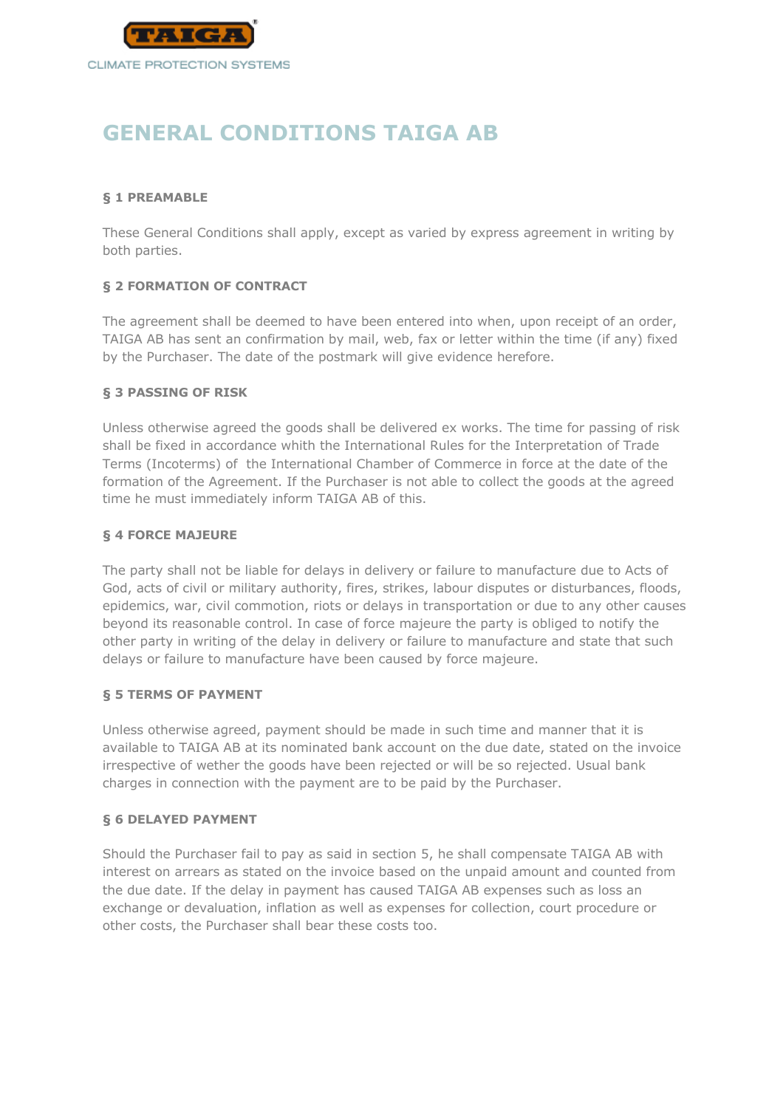

# **GENERAL CONDITIONS TAIGA AB**

## **§ 1 PREAMABLE**

These General Conditions shall apply, except as varied by express agreement in writing by both parties.

## **§ 2 FORMATION OF CONTRACT**

The agreement shall be deemed to have been entered into when, upon receipt of an order, TAIGA AB has sent an confirmation by mail, web, fax or letter within the time (if any) fixed by the Purchaser. The date of the postmark will give evidence herefore.

#### **§ 3 PASSING OF RISK**

Unless otherwise agreed the goods shall be delivered ex works. The time for passing of risk shall be fixed in accordance whith the International Rules for the Interpretation of Trade Terms (Incoterms) of the International Chamber of Commerce in force at the date of the formation of the Agreement. If the Purchaser is not able to collect the goods at the agreed time he must immediately inform TAIGA AB of this.

#### **§ 4 FORCE MAJEURE**

The party shall not be liable for delays in delivery or failure to manufacture due to Acts of God, acts of civil or military authority, fires, strikes, labour disputes or disturbances, floods, epidemics, war, civil commotion, riots or delays in transportation or due to any other causes beyond its reasonable control. In case of force majeure the party is obliged to notify the other party in writing of the delay in delivery or failure to manufacture and state that such delays or failure to manufacture have been caused by force majeure.

#### **§ 5 TERMS OF PAYMENT**

Unless otherwise agreed, payment should be made in such time and manner that it is available to TAIGA AB at its nominated bank account on the due date, stated on the invoice irrespective of wether the goods have been rejected or will be so rejected. Usual bank charges in connection with the payment are to be paid by the Purchaser.

#### **§ 6 DELAYED PAYMENT**

Should the Purchaser fail to pay as said in section 5, he shall compensate TAIGA AB with interest on arrears as stated on the invoice based on the unpaid amount and counted from the due date. If the delay in payment has caused TAIGA AB expenses such as loss an exchange or devaluation, inflation as well as expenses for collection, court procedure or other costs, the Purchaser shall bear these costs too.